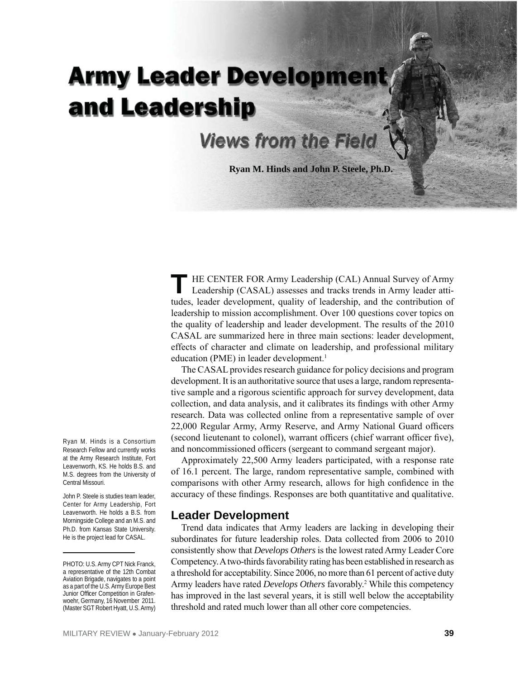# **Army Leader Developme** and Leadership

# **Views from the Field**

**Ryan M. Hinds and John P. Steele, Ph.D.** 

HE CENTER FOR Army Leadership (CAL) Annual Survey of Army Leadership (CASAL) assesses and tracks trends in Army leader attitudes, leader development, quality of leadership, and the contribution of leadership to mission accomplishment. Over 100 questions cover topics on the quality of leadership and leader development. The results of the 2010 CASAL are summarized here in three main sections: leader development, effects of character and climate on leadership, and professional military education (PME) in leader development.<sup>1</sup>

The CASAL provides research guidance for policy decisions and program development. It is an authoritative source that uses a large, random representative sample and a rigorous scientific approach for survey development, data collection, and data analysis, and it calibrates its findings with other Army research. Data was collected online from a representative sample of over 22,000 Regular Army, Army Reserve, and Army National Guard officers (second lieutenant to colonel), warrant officers (chief warrant officer five), and noncommissioned officers (sergeant to command sergeant major).

Approximately 22,500 Army leaders participated, with a response rate of 16.1 percent. The large, random representative sample, combined with comparisons with other Army research, allows for high confidence in the accuracy of these findings. Responses are both quantitative and qualitative.

#### **Leader Development**

Trend data indicates that Army leaders are lacking in developing their subordinates for future leadership roles. Data collected from 2006 to 2010 consistently show that *Develops Others* is the lowest rated Army Leader Core Competency. A two-thirds favorability rating has been established in research as a threshold for acceptability. Since 2006, no more than 61 percent of active duty Army leaders have rated *Develops Others* favorably.<sup>2</sup> While this competency has improved in the last several years, it is still well below the acceptability threshold and rated much lower than all other core competencies.

Ryan M. Hinds is a Consortium Research Fellow and currently works at the Army Research Institute, Fort Leavenworth, KS. He holds B.S. and M.S. degrees from the University of Central Missouri.

John P. Steele is studies team leader, Center for Army Leadership, Fort Leavenworth. He holds a B.S. from Morningside College and an M.S. and Ph.D. from Kansas State University. He is the project lead for CASAL.

PHOTO: U.S. Army CPT Nick Franck, a representative of the 12th Combat Aviation Brigade, navigates to a point as a part of the U.S. Army Europe Best Junior Officer Competition in Grafenwoehr, Germany, 16 November 2011. (Master SGT Robert Hyatt, U.S. Army)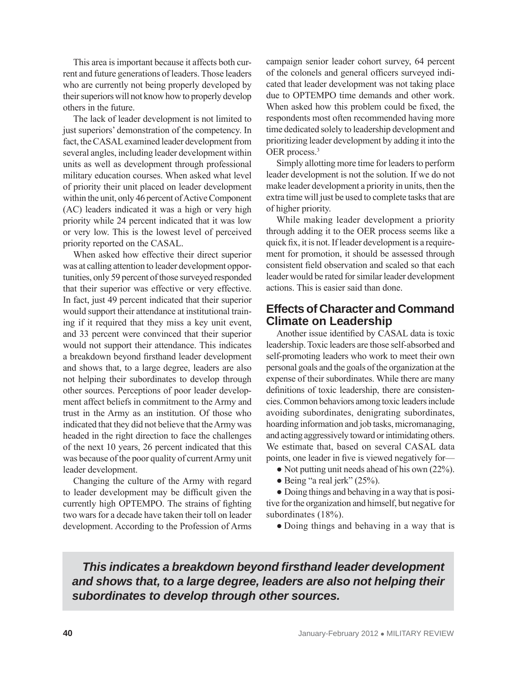This area is important because it affects both current and future generations of leaders. Those leaders who are currently not being properly developed by their superiors will not know how to properly develop others in the future.

The lack of leader development is not limited to just superiors' demonstration of the competency. In fact, the CASAL examined leader development from several angles, including leader development within units as well as development through professional military education courses. When asked what level of priority their unit placed on leader development within the unit, only 46 percent of Active Component (AC) leaders indicated it was a high or very high priority while 24 percent indicated that it was low or very low. This is the lowest level of perceived priority reported on the CASAL.

When asked how effective their direct superior was at calling attention to leader development opportunities, only 59 percent of those surveyed responded that their superior was effective or very effective. In fact, just 49 percent indicated that their superior would support their attendance at institutional training if it required that they miss a key unit event, and 33 percent were convinced that their superior would not support their attendance. This indicates a breakdown beyond firsthand leader development and shows that, to a large degree, leaders are also not helping their subordinates to develop through other sources. Perceptions of poor leader development affect beliefs in commitment to the Army and trust in the Army as an institution. Of those who indicated that they did not believe that the Army was headed in the right direction to face the challenges of the next 10 years, 26 percent indicated that this was because of the poor quality of current Army unit leader development.

Changing the culture of the Army with regard to leader development may be difficult given the currently high OPTEMPO. The strains of fighting two wars for a decade have taken their toll on leader development. According to the Profession of Arms

campaign senior leader cohort survey, 64 percent of the colonels and general officers surveyed indicated that leader development was not taking place due to OPTEMPO time demands and other work. When asked how this problem could be fixed, the respondents most often recommended having more time dedicated solely to leadership development and prioritizing leader development by adding it into the OER process.<sup>3</sup>

Simply allotting more time for leaders to perform leader development is not the solution. If we do not make leader development a priority in units, then the extra time will just be used to complete tasks that are of higher priority.

While making leader development a priority through adding it to the OER process seems like a quick fix, it is not. If leader development is a requirement for promotion, it should be assessed through consistent field observation and scaled so that each leader would be rated for similar leader development actions. This is easier said than done.

#### **Effects of Character and Command Climate on Leadership**

Another issue identified by CASAL data is toxic leadership. Toxic leaders are those self-absorbed and self-promoting leaders who work to meet their own personal goals and the goals of the organization at the expense of their subordinates. While there are many definitions of toxic leadership, there are consistencies. Common behaviors among toxic leaders include avoiding subordinates, denigrating subordinates, hoarding information and job tasks, micromanaging, and acting aggressively toward or intimidating others. We estimate that, based on several CASAL data points, one leader in five is viewed negatively for—

- Not putting unit needs ahead of his own (22%).
- $\bullet$  Being "a real jerk" (25%).

● Doing things and behaving in a way that is positive for the organization and himself, but negative for subordinates (18%).

• Doing things and behaving in a way that is

*This indicates a breakdown beyond firsthand leader development and shows that, to a large degree, leaders are also not helping their subordinates to develop through other sources.*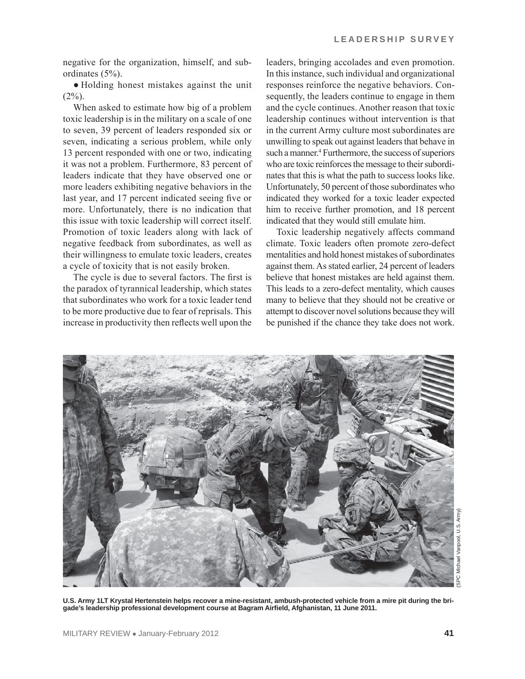negative for the organization, himself, and subordinates (5%).

● Holding honest mistakes against the unit  $(2\%)$ .

When asked to estimate how big of a problem toxic leadership is in the military on a scale of one to seven, 39 percent of leaders responded six or seven, indicating a serious problem, while only 13 percent responded with one or two, indicating it was not a problem. Furthermore, 83 percent of leaders indicate that they have observed one or more leaders exhibiting negative behaviors in the last year, and 17 percent indicated seeing five or more. Unfortunately, there is no indication that this issue with toxic leadership will correct itself. Promotion of toxic leaders along with lack of negative feedback from subordinates, as well as their willingness to emulate toxic leaders, creates a cycle of toxicity that is not easily broken.

The cycle is due to several factors. The first is the paradox of tyrannical leadership, which states that subordinates who work for a toxic leader tend to be more productive due to fear of reprisals. This increase in productivity then reflects well upon the

leaders, bringing accolades and even promotion. In this instance, such individual and organizational responses reinforce the negative behaviors. Consequently, the leaders continue to engage in them and the cycle continues. Another reason that toxic leadership continues without intervention is that in the current Army culture most subordinates are unwilling to speak out against leaders that behave in such a manner.<sup>4</sup> Furthermore, the success of superiors who are toxic reinforces the message to their subordinates that this is what the path to success looks like. Unfortunately, 50 percent of those subordinates who indicated they worked for a toxic leader expected him to receive further promotion, and 18 percent indicated that they would still emulate him.

Toxic leadership negatively affects command climate. Toxic leaders often promote zero-defect mentalities and hold honest mistakes of subordinates against them. As stated earlier, 24 percent of leaders believe that honest mistakes are held against them. This leads to a zero-defect mentality, which causes many to believe that they should not be creative or attempt to discover novel solutions because they will be punished if the chance they take does not work.

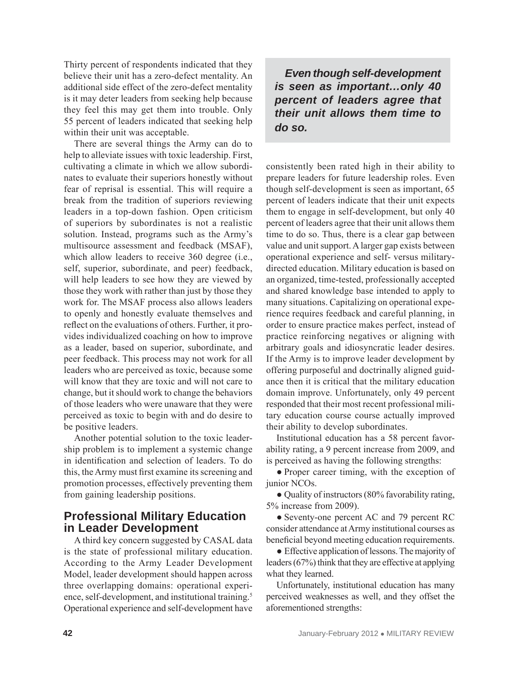Thirty percent of respondents indicated that they believe their unit has a zero-defect mentality. An additional side effect of the zero-defect mentality is it may deter leaders from seeking help because they feel this may get them into trouble. Only 55 percent of leaders indicated that seeking help within their unit was acceptable.

There are several things the Army can do to help to alleviate issues with toxic leadership. First, cultivating a climate in which we allow subordinates to evaluate their superiors honestly without fear of reprisal is essential. This will require a break from the tradition of superiors reviewing leaders in a top-down fashion. Open criticism of superiors by subordinates is not a realistic solution. Instead, programs such as the Army's multisource assessment and feedback (MSAF), which allow leaders to receive 360 degree (i.e., self, superior, subordinate, and peer) feedback, will help leaders to see how they are viewed by those they work with rather than just by those they work for. The MSAF process also allows leaders to openly and honestly evaluate themselves and reflect on the evaluations of others. Further, it provides individualized coaching on how to improve as a leader, based on superior, subordinate, and peer feedback. This process may not work for all leaders who are perceived as toxic, because some will know that they are toxic and will not care to change, but it should work to change the behaviors of those leaders who were unaware that they were perceived as toxic to begin with and do desire to be positive leaders.

Another potential solution to the toxic leadership problem is to implement a systemic change in identification and selection of leaders. To do this, the Army must first examine its screening and promotion processes, effectively preventing them from gaining leadership positions.

## **Professional Military Education in Leader Development**

A third key concern suggested by CASAL data is the state of professional military education. According to the Army Leader Development Model, leader development should happen across three overlapping domains: operational experience, self-development, and institutional training.<sup>5</sup> Operational experience and self-development have

*Even though self-development is seen as important…only 40 percent of leaders agree that their unit allows them time to do so.* 

consistently been rated high in their ability to prepare leaders for future leadership roles. Even though self-development is seen as important, 65 percent of leaders indicate that their unit expects them to engage in self-development, but only 40 percent of leaders agree that their unit allows them time to do so. Thus, there is a clear gap between value and unit support. A larger gap exists between operational experience and self- versus militarydirected education. Military education is based on an organized, time-tested, professionally accepted and shared knowledge base intended to apply to many situations. Capitalizing on operational experience requires feedback and careful planning, in order to ensure practice makes perfect, instead of practice reinforcing negatives or aligning with arbitrary goals and idiosyncratic leader desires. If the Army is to improve leader development by offering purposeful and doctrinally aligned guidance then it is critical that the military education domain improve. Unfortunately, only 49 percent responded that their most recent professional military education course course actually improved their ability to develop subordinates.

Institutional education has a 58 percent favorability rating, a 9 percent increase from 2009, and is perceived as having the following strengths:

• Proper career timing, with the exception of junior NCOs.

● Quality of instructors (80% favorability rating, 5% increase from 2009).

● Seventy-one percent AC and 79 percent RC consider attendance at Army institutional courses as beneficial beyond meeting education requirements.

● Effective application of lessons. The majority of leaders (67%) think that they are effective at applying what they learned.

Unfortunately, institutional education has many perceived weaknesses as well, and they offset the aforementioned strengths: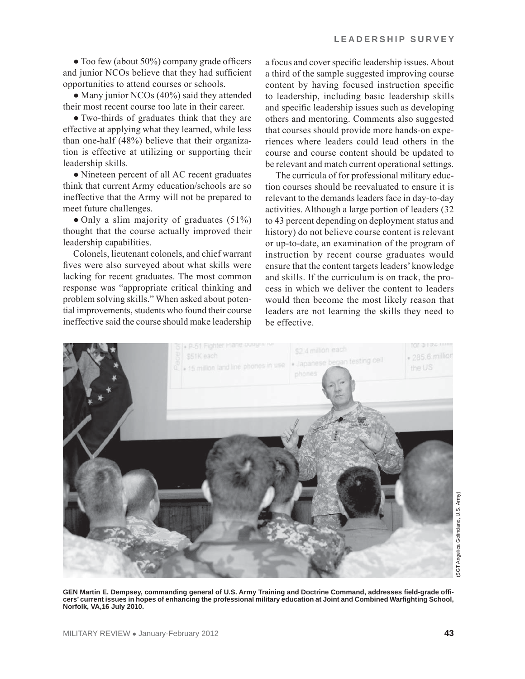• Too few (about 50%) company grade officers and junior NCOs believe that they had sufficient opportunities to attend courses or schools.

• Many junior NCOs (40%) said they attended their most recent course too late in their career.

● Two-thirds of graduates think that they are effective at applying what they learned, while less than one-half (48%) believe that their organization is effective at utilizing or supporting their leadership skills.

● Nineteen percent of all AC recent graduates think that current Army education/schools are so ineffective that the Army will not be prepared to meet future challenges.

• Only a slim majority of graduates (51%) thought that the course actually improved their leadership capabilities.

Colonels, lieutenant colonels, and chief warrant fives were also surveyed about what skills were lacking for recent graduates. The most common response was "appropriate critical thinking and problem solving skills." When asked about potential improvements, students who found their course ineffective said the course should make leadership a focus and cover specific leadership issues. About a third of the sample suggested improving course content by having focused instruction specific to leadership, including basic leadership skills and specific leadership issues such as developing others and mentoring. Comments also suggested that courses should provide more hands-on experiences where leaders could lead others in the course and course content should be updated to be relevant and match current operational settings.

The curricula of for professional military eduction courses should be reevaluated to ensure it is relevant to the demands leaders face in day-to-day activities. Although a large portion of leaders (32 to 43 percent depending on deployment status and history) do not believe course content is relevant or up-to-date, an examination of the program of instruction by recent course graduates would ensure that the content targets leaders' knowledge and skills. If the curriculum is on track, the process in which we deliver the content to leaders would then become the most likely reason that leaders are not learning the skills they need to be effective.



**GEN Martin E. Dempsey, commanding general of U.S. Army Training and Doctrine Command, addresses field-grade officers' current issues in hopes of enhancing the professional military education at Joint and Combined Warfighting School, Norfolk, VA,16 July 2010.**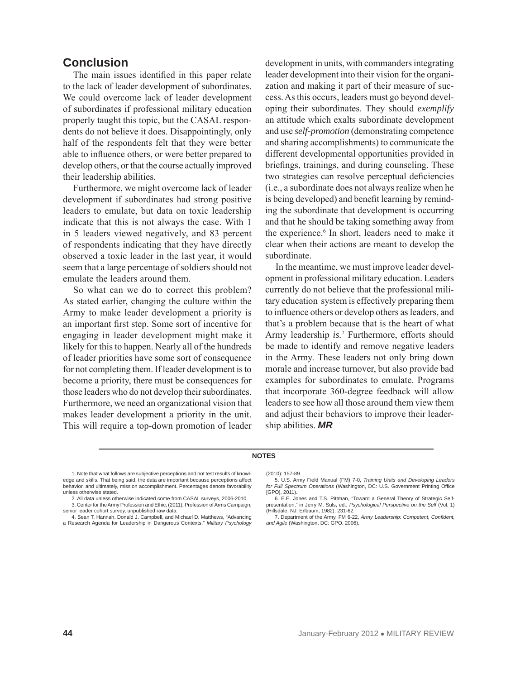### **Conclusion**

The main issues identified in this paper relate to the lack of leader development of subordinates. We could overcome lack of leader development of subordinates if professional military education properly taught this topic, but the CASAL respondents do not believe it does. Disappointingly, only half of the respondents felt that they were better able to influence others, or were better prepared to develop others, or that the course actually improved their leadership abilities.

Furthermore, we might overcome lack of leader development if subordinates had strong positive leaders to emulate, but data on toxic leadership indicate that this is not always the case. With 1 in 5 leaders viewed negatively, and 83 percent of respondents indicating that they have directly observed a toxic leader in the last year, it would seem that a large percentage of soldiers should not emulate the leaders around them.

So what can we do to correct this problem? As stated earlier, changing the culture within the Army to make leader development a priority is an important first step. Some sort of incentive for engaging in leader development might make it likely for this to happen. Nearly all of the hundreds of leader priorities have some sort of consequence for not completing them. If leader development is to become a priority, there must be consequences for those leaders who do not develop their subordinates. Furthermore, we need an organizational vision that makes leader development a priority in the unit. This will require a top-down promotion of leader

development in units, with commanders integrating leader development into their vision for the organization and making it part of their measure of success. As this occurs, leaders must go beyond developing their subordinates. They should *exemplify* an attitude which exalts subordinate development and use *self-promotion* (demonstrating competence and sharing accomplishments) to communicate the different developmental opportunities provided in briefings, trainings, and during counseling. These two strategies can resolve perceptual deficiencies (i.e., a subordinate does not always realize when he is being developed) and benefit learning by reminding the subordinate that development is occurring and that he should be taking something away from the experience.<sup>6</sup> In short, leaders need to make it clear when their actions are meant to develop the subordinate.

In the meantime, we must improve leader development in professional military education. Leaders currently do not believe that the professional military education system is effectively preparing them to influence others or develop others as leaders, and that's a problem because that is the heart of what Army leadership *is.*<sup>7</sup> Furthermore, efforts should be made to identify and remove negative leaders in the Army. These leaders not only bring down morale and increase turnover, but also provide bad examples for subordinates to emulate. Programs that incorporate 360-degree feedback will allow leaders to see how all those around them view them and adjust their behaviors to improve their leadership abilities. *MR*

#### **NOTES**

1. Note that what follows are subjective perceptions and not test results of knowledge and skills. That being said, the data are important because perceptions affect behavior, and ultimately, mission accomplishment. Percentages denote favorability unless otherwise stated.

senior leader cohort survey, unpublished raw data. 4. Sean T. Hannah, Donald J. Campbell, and Michael D. Matthews, "Advancing

a Research Agenda for Leadership in Dangerous Contexts," *Military Psychology*

#### (2010): 157-89.

5. U.S. Army Field Manual (FM) 7-0, *Training Units and Developing Leaders for Full Spectrum Operations* (Washington, DC: U.S. Government Printing Office [GPO], 2011).

7. Department of the Army, FM 6-22, *Army Leadership: Competent, Confident, and Agile* (Washington, DC: GPO, 2006).

<sup>2.</sup> All data unless otherwise indicated come from CASAL surveys, 2006-2010. 3. Center for the Army Profession and Ethic, (2011), Profession of Arms Campaign,

<sup>6.</sup> E.E. Jones and T.S. Pittman, "Toward a General Theory of Strategic Selfpresentation," in Jerry M. Suls, ed., *Psychological Perspective on the Self* (Vol. 1) (Hillsdale, NJ: Erlbaum, 1982), 231-62.